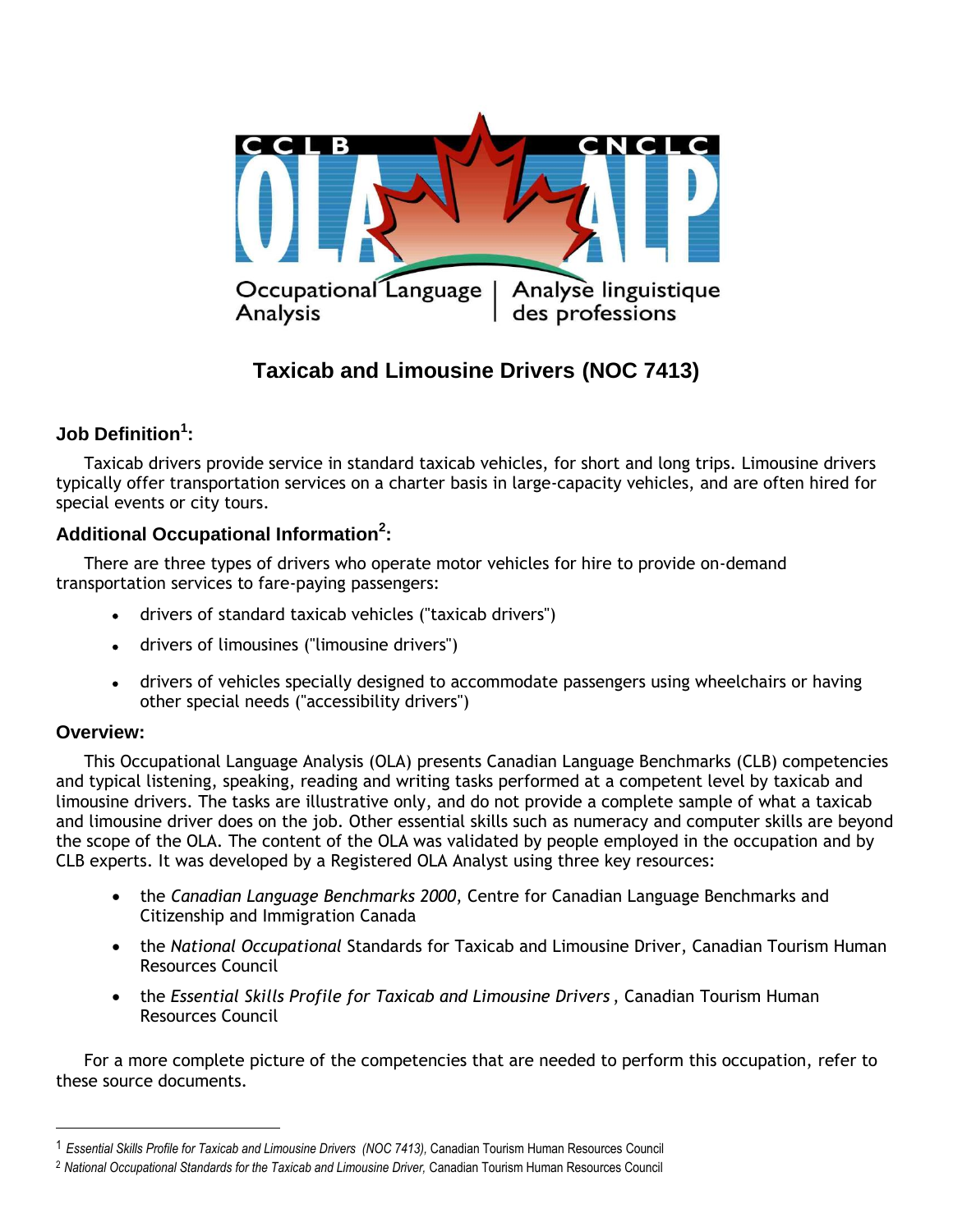

# **Taxicab and Limousine Drivers (NOC 7413)**

## **Job Definition<sup>1</sup> :**

Taxicab drivers provide service in standard taxicab vehicles, for short and long trips. Limousine drivers typically offer transportation services on a charter basis in large-capacity vehicles, and are often hired for special events or city tours.

## **Additional Occupational Information<sup>2</sup> :**

There are three types of drivers who operate motor vehicles for hire to provide on-demand transportation services to fare-paying passengers:

- drivers of standard taxicab vehicles ("taxicab drivers")
- drivers of limousines ("limousine drivers")
- drivers of vehicles specially designed to accommodate passengers using wheelchairs or having other special needs ("accessibility drivers")

## **Overview:**

 $\overline{a}$ 

This Occupational Language Analysis (OLA) presents Canadian Language Benchmarks (CLB) competencies and typical listening, speaking, reading and writing tasks performed at a competent level by taxicab and limousine drivers. The tasks are illustrative only, and do not provide a complete sample of what a taxicab and limousine driver does on the job. Other essential skills such as numeracy and computer skills are beyond the scope of the OLA. The content of the OLA was validated by people employed in the occupation and by CLB experts. It was developed by a Registered OLA Analyst using three key resources:

- the *Canadian Language Benchmarks 2000*, Centre for Canadian Language Benchmarks and Citizenship and Immigration Canada
- the *National Occupational* Standards for Taxicab and Limousine Driver, Canadian Tourism Human Resources Council
- the *Essential Skills Profile for Taxicab and Limousine Drivers* , Canadian Tourism Human Resources Council

For a more complete picture of the competencies that are needed to perform this occupation, refer to these source documents.

<sup>1</sup> *Essential Skills Profile for Taxicab and Limousine Drivers (NOC 7413),* Canadian Tourism Human Resources Council

<sup>2</sup> *National Occupational Standards for the Taxicab and Limousine Driver,* Canadian Tourism Human Resources Council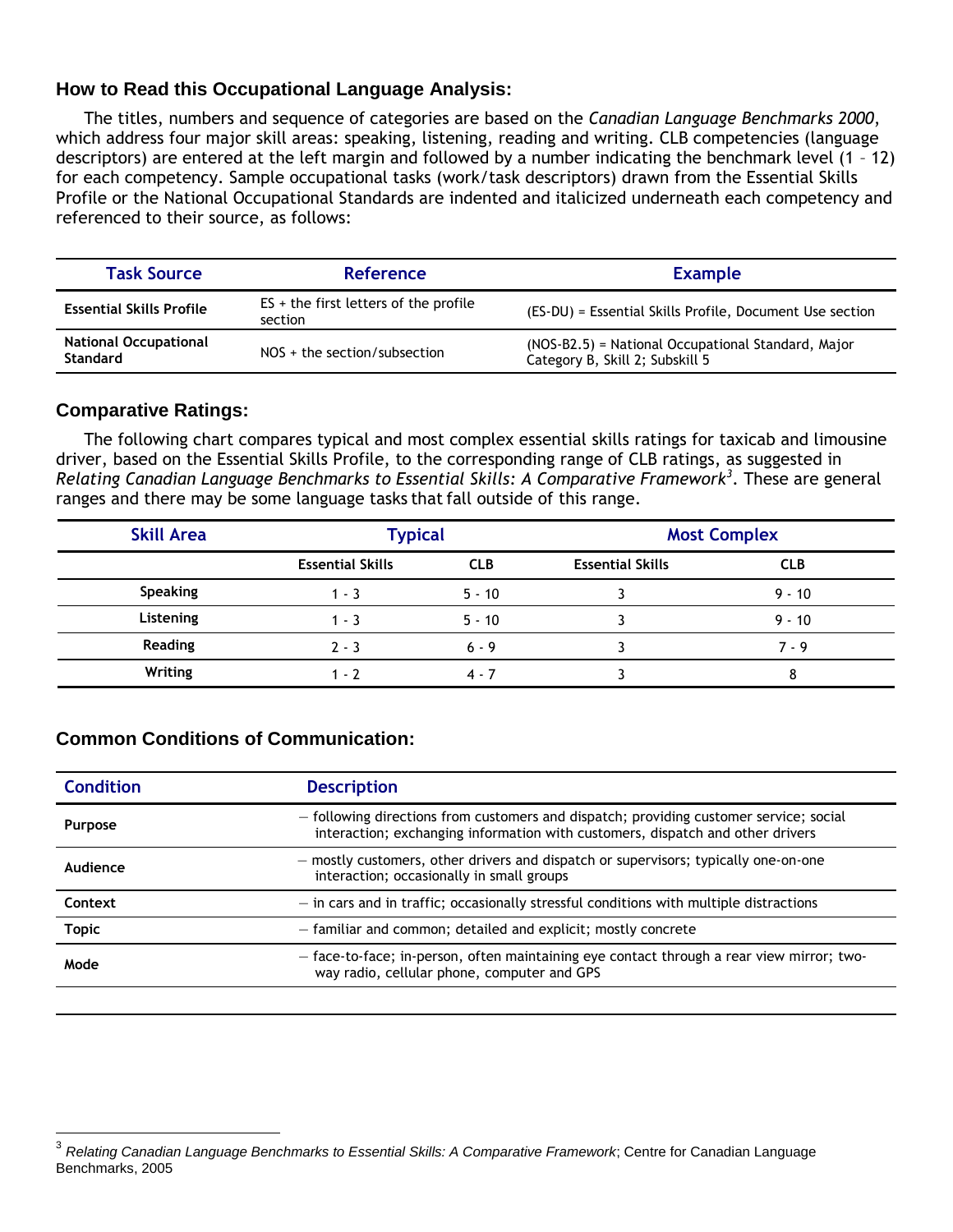## **How to Read this Occupational Language Analysis:**

The titles, numbers and sequence of categories are based on the *Canadian Language Benchmarks 2000*, which address four major skill areas: speaking, listening, reading and writing. CLB competencies (language descriptors) are entered at the left margin and followed by a number indicating the benchmark level (1 – 12) for each competency. Sample occupational tasks (work/task descriptors) drawn from the Essential Skills Profile or the National Occupational Standards are indented and italicized underneath each competency and referenced to their source, as follows:

| <b>Task Source</b>                                                                | <b>Reference</b>                                   | <b>Example</b>                                                                        |  |
|-----------------------------------------------------------------------------------|----------------------------------------------------|---------------------------------------------------------------------------------------|--|
| <b>Essential Skills Profile</b>                                                   | $ES + the first letters of the profile$<br>section | (ES-DU) = Essential Skills Profile, Document Use section                              |  |
| <b>National Occupational</b><br>$NOS + the section/subsection$<br><b>Standard</b> |                                                    | (NOS-B2.5) = National Occupational Standard, Major<br>Category B, Skill 2; Subskill 5 |  |

#### **Comparative Ratings:**

 $\overline{a}$ 

The following chart compares typical and most complex essential skills ratings for taxicab and limousine driver, based on the Essential Skills Profile, to the corresponding range of CLB ratings, as suggested in *Relating Canadian Language Benchmarks to Essential Skills: A Comparative Framework<sup>3</sup>* . These are general ranges and there may be some language tasks that fall outside of this range.

| <b>Skill Area</b> | <b>Typical</b>          |            | <b>Most Complex</b>     |            |
|-------------------|-------------------------|------------|-------------------------|------------|
|                   | <b>Essential Skills</b> | <b>CLB</b> | <b>Essential Skills</b> | <b>CLB</b> |
| Speaking          | $1 - 3$                 | $5 - 10$   |                         | $9 - 10$   |
| Listening         | $1 - 3$                 | $5 - 10$   |                         | $9 - 10$   |
| <b>Reading</b>    | $2 - 3$                 | $6 - 9$    |                         | $7 - 9$    |
| Writing           | $1 - 2$                 | $4 - 7$    |                         | 8          |

## **Common Conditions of Communication:**

| <b>Condition</b> | <b>Description</b><br>- following directions from customers and dispatch; providing customer service; social<br>interaction; exchanging information with customers, dispatch and other drivers |  |
|------------------|------------------------------------------------------------------------------------------------------------------------------------------------------------------------------------------------|--|
| <b>Purpose</b>   |                                                                                                                                                                                                |  |
| Audience         | - mostly customers, other drivers and dispatch or supervisors; typically one-on-one<br>interaction; occasionally in small groups                                                               |  |
| Context          | $-$ in cars and in traffic; occasionally stressful conditions with multiple distractions                                                                                                       |  |
| <b>Topic</b>     | - familiar and common; detailed and explicit; mostly concrete                                                                                                                                  |  |
| Mode             | - face-to-face; in-person, often maintaining eye contact through a rear view mirror; two-<br>way radio, cellular phone, computer and GPS                                                       |  |
|                  |                                                                                                                                                                                                |  |

<sup>3</sup> *Relating Canadian Language Benchmarks to Essential Skills: A Comparative Framework*; Centre for Canadian Language Benchmarks, 2005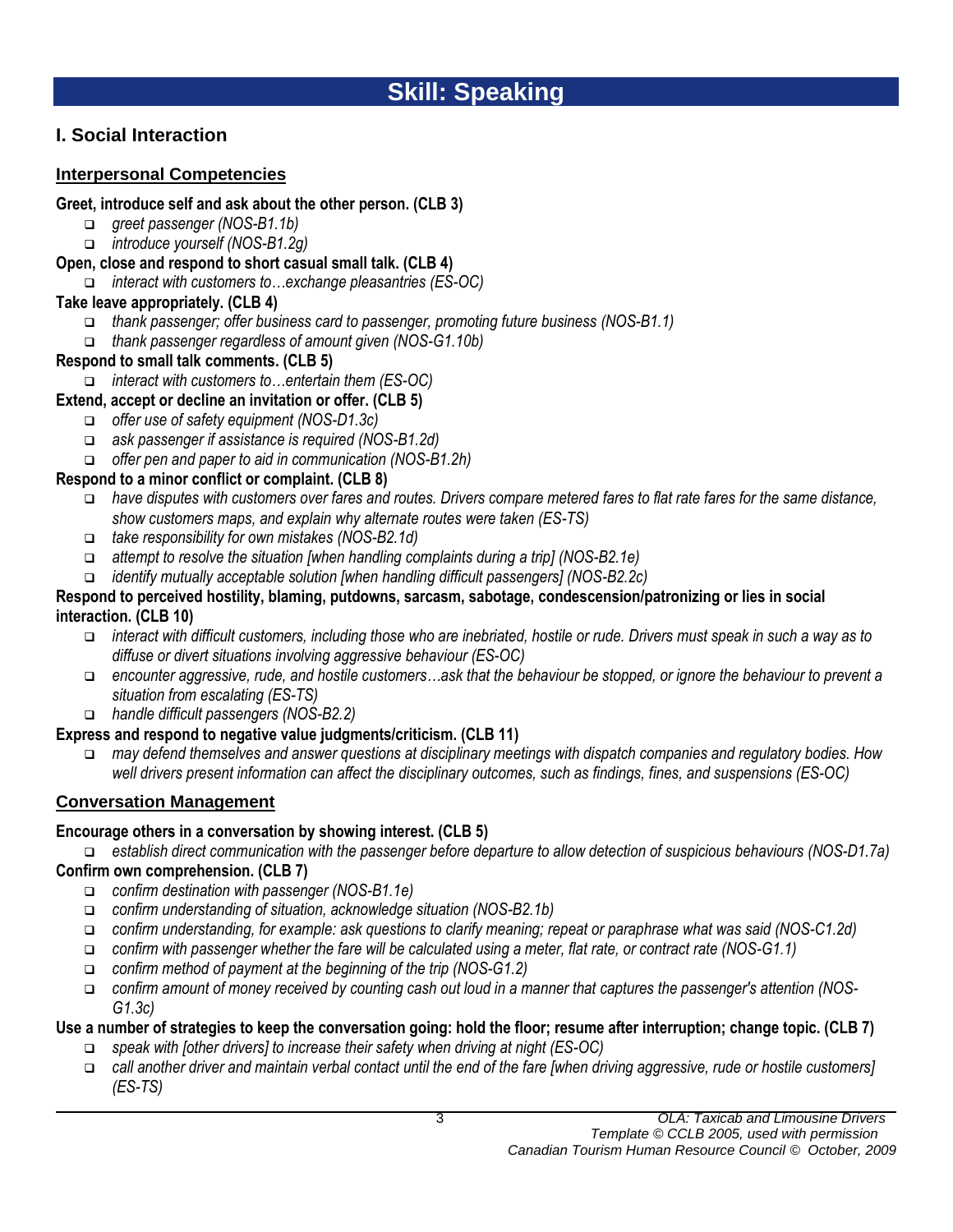## **I. Social Interaction**

## **Interpersonal Competencies**

#### **Greet, introduce self and ask about the other person. (CLB 3)**

- *greet passenger (NOS-B1.1b)*
- *introduce yourself (NOS-B1.2g)*

## **Open, close and respond to short casual small talk. (CLB 4)**

*interact with customers to…exchange pleasantries (ES-OC)*

## **Take leave appropriately. (CLB 4)**

- *thank passenger; offer business card to passenger, promoting future business (NOS-B1.1)*
- *thank passenger regardless of amount given (NOS-G1.10b)*

## **Respond to small talk comments. (CLB 5)**

*interact with customers to…entertain them (ES-OC)*

## **Extend, accept or decline an invitation or offer. (CLB 5)**

- *offer use of safety equipment (NOS-D1.3c)*
- *ask passenger if assistance is required (NOS-B1.2d)*
- *offer pen and paper to aid in communication (NOS-B1.2h)*

## **Respond to a minor conflict or complaint. (CLB 8)**

- *have disputes with customers over fares and routes. Drivers compare metered fares to flat rate fares for the same distance, show customers maps, and explain why alternate routes were taken (ES-TS)*
- *take responsibility for own mistakes (NOS-B2.1d)*
- *attempt to resolve the situation [when handling complaints during a trip] (NOS-B2.1e)*
- *identify mutually acceptable solution [when handling difficult passengers] (NOS-B2.2c)*

#### **Respond to perceived hostility, blaming, putdowns, sarcasm, sabotage, condescension/patronizing or lies in social interaction. (CLB 10)**

- *interact with difficult customers, including those who are inebriated, hostile or rude. Drivers must speak in such a way as to diffuse or divert situations involving aggressive behaviour (ES-OC)*
- *encounter aggressive, rude, and hostile customers…ask that the behaviour be stopped, or ignore the behaviour to prevent a situation from escalating (ES-TS)*
- *handle difficult passengers (NOS-B2.2)*

## **Express and respond to negative value judgments/criticism. (CLB 11)**

 *may defend themselves and answer questions at disciplinary meetings with dispatch companies and regulatory bodies. How well drivers present information can affect the disciplinary outcomes, such as findings, fines, and suspensions (ES-OC)*

## **Conversation Management**

## **Encourage others in a conversation by showing interest. (CLB 5)**

*establish direct communication with the passenger before departure to allow detection of suspicious behaviours (NOS-D1.7a)*

## **Confirm own comprehension. (CLB 7)**

- *confirm destination with passenger (NOS-B1.1e)*
- *confirm understanding of situation, acknowledge situation (NOS-B2.1b)*
- *confirm understanding, for example: ask questions to clarify meaning; repeat or paraphrase what was said (NOS-C1.2d)*
- *confirm with passenger whether the fare will be calculated using a meter, flat rate, or contract rate (NOS-G1.1)*
- *confirm method of payment at the beginning of the trip (NOS-G1.2)*
- *confirm amount of money received by counting cash out loud in a manner that captures the passenger's attention (NOS-G1.3c)*

## **Use a number of strategies to keep the conversation going: hold the floor; resume after interruption; change topic. (CLB 7)**

- *speak with [other drivers] to increase their safety when driving at night (ES-OC)*
- *call another driver and maintain verbal contact until the end of the fare [when driving aggressive, rude or hostile customers] (ES-TS)*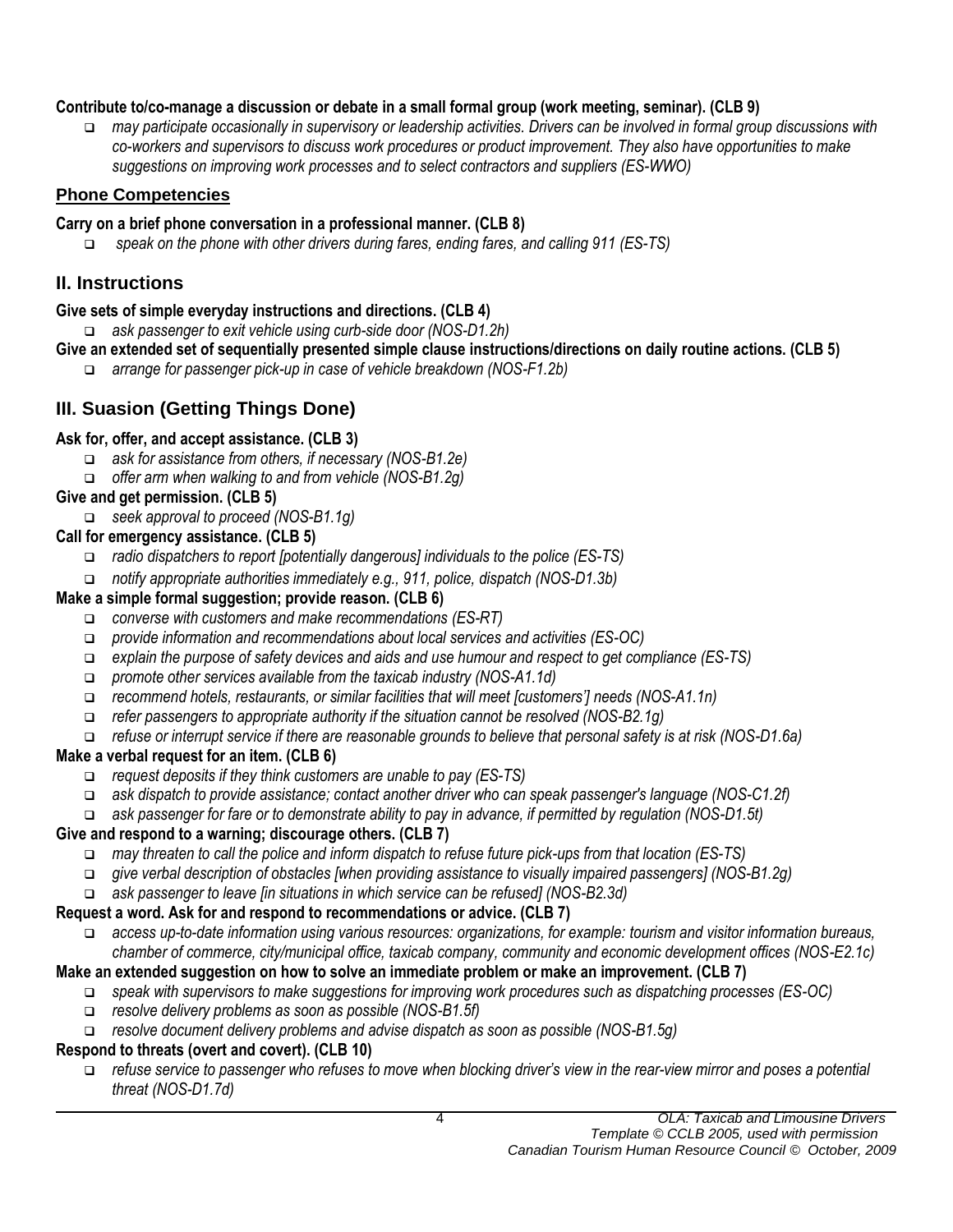## **Contribute to/co-manage a discussion or debate in a small formal group (work meeting, seminar). (CLB 9)**

 *may participate occasionally in supervisory or leadership activities. Drivers can be involved in formal group discussions with co-workers and supervisors to discuss work procedures or product improvement. They also have opportunities to make suggestions on improving work processes and to select contractors and suppliers (ES-WWO)*

## **Phone Competencies**

## **Carry on a brief phone conversation in a professional manner. (CLB 8)**

*speak on the phone with other drivers during fares, ending fares, and calling 911 (ES-TS)*

## **II. Instructions**

## **Give sets of simple everyday instructions and directions. (CLB 4)**

*ask passenger to exit vehicle using curb-side door (NOS-D1.2h)*

- **Give an extended set of sequentially presented simple clause instructions/directions on daily routine actions. (CLB 5)**
	- *arrange for passenger pick-up in case of vehicle breakdown (NOS-F1.2b)*

## **III. Suasion (Getting Things Done)**

## **Ask for, offer, and accept assistance. (CLB 3)**

- *ask for assistance from others, if necessary (NOS-B1.2e)*
- *offer arm when walking to and from vehicle (NOS-B1.2g)*

## **Give and get permission. (CLB 5)**

*seek approval to proceed (NOS-B1.1g)*

## **Call for emergency assistance. (CLB 5)**

- *radio dispatchers to report [potentially dangerous] individuals to the police (ES-TS)*
- *notify appropriate authorities immediately e.g., 911, police, dispatch (NOS-D1.3b)*

## **Make a simple formal suggestion; provide reason. (CLB 6)**

- *converse with customers and make recommendations (ES-RT)*
- *provide information and recommendations about local services and activities (ES-OC)*
- *explain the purpose of safety devices and aids and use humour and respect to get compliance (ES-TS)*
- *promote other services available from the taxicab industry (NOS-A1.1d)*
- *recommend hotels, restaurants, or similar facilities that will meet [customers'] needs (NOS-A1.1n)*
- *refer passengers to appropriate authority if the situation cannot be resolved (NOS-B2.1g)*
- *refuse or interrupt service if there are reasonable grounds to believe that personal safety is at risk (NOS-D1.6a)*

## **Make a verbal request for an item. (CLB 6)**

- *request deposits if they think customers are unable to pay (ES-TS)*
- *ask dispatch to provide assistance; contact another driver who can speak passenger's language (NOS-C1.2f)*
- *ask passenger for fare or to demonstrate ability to pay in advance, if permitted by regulation (NOS-D1.5t)*

## **Give and respond to a warning; discourage others. (CLB 7)**

- *may threaten to call the police and inform dispatch to refuse future pick-ups from that location (ES-TS)*
- *give verbal description of obstacles [when providing assistance to visually impaired passengers] (NOS-B1.2g)*
- *ask passenger to leave [in situations in which service can be refused] (NOS-B2.3d)*

## **Request a word. Ask for and respond to recommendations or advice. (CLB 7)**

 *access up-to-date information using various resources: organizations, for example: tourism and visitor information bureaus, chamber of commerce, city/municipal office, taxicab company, community and economic development offices (NOS-E2.1c)*

## **Make an extended suggestion on how to solve an immediate problem or make an improvement. (CLB 7)**

- *speak with supervisors to make suggestions for improving work procedures such as dispatching processes (ES-OC)*
- *resolve delivery problems as soon as possible (NOS-B1.5f)*
- *resolve document delivery problems and advise dispatch as soon as possible (NOS-B1.5g)*

## **Respond to threats (overt and covert). (CLB 10)**

 *refuse service to passenger who refuses to move when blocking driver's view in the rear-view mirror and poses a potential threat (NOS-D1.7d)*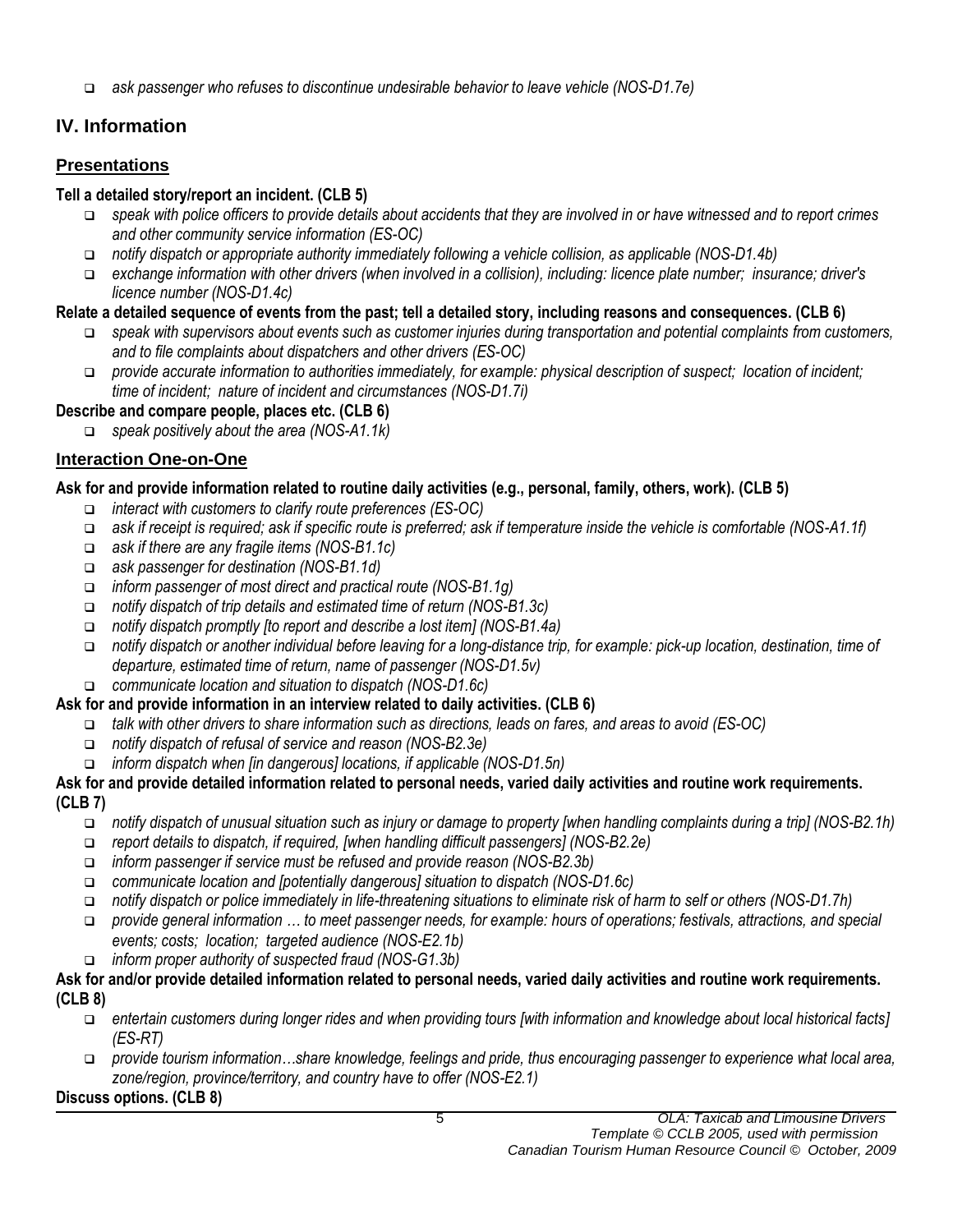*ask passenger who refuses to discontinue undesirable behavior to leave vehicle (NOS-D1.7e)*

## **IV. Information**

## **Presentations**

## **Tell a detailed story/report an incident. (CLB 5)**

- *speak with police officers to provide details about accidents that they are involved in or have witnessed and to report crimes and other community service information (ES-OC)*
- *notify dispatch or appropriate authority immediately following a vehicle collision, as applicable (NOS-D1.4b)*
- *exchange information with other drivers (when involved in a collision), including: licence plate number; insurance; driver's licence number (NOS-D1.4c)*

## **Relate a detailed sequence of events from the past; tell a detailed story, including reasons and consequences. (CLB 6)**

- *speak with supervisors about events such as customer injuries during transportation and potential complaints from customers, and to file complaints about dispatchers and other drivers (ES-OC)*
- *provide accurate information to authorities immediately, for example: physical description of suspect; location of incident; time of incident; nature of incident and circumstances (NOS-D1.7i)*

## **Describe and compare people, places etc. (CLB 6)**

*speak positively about the area (NOS-A1.1k)*

## **Interaction One-on-One**

## **Ask for and provide information related to routine daily activities (e.g., personal, family, others, work). (CLB 5)**

- *interact with customers to clarify route preferences (ES-OC)*
- *ask if receipt is required; ask if specific route is preferred; ask if temperature inside the vehicle is comfortable (NOS-A1.1f)*
- *ask if there are any fragile items (NOS-B1.1c)*
- *ask passenger for destination (NOS-B1.1d)*
- *inform passenger of most direct and practical route (NOS-B1.1g)*
- *notify dispatch of trip details and estimated time of return (NOS-B1.3c)*
- *notify dispatch promptly [to report and describe a lost item] (NOS-B1.4a)*
- *notify dispatch or another individual before leaving for a long-distance trip, for example: pick-up location, destination, time of departure, estimated time of return, name of passenger (NOS-D1.5v)*
- *communicate location and situation to dispatch (NOS-D1.6c)*

## **Ask for and provide information in an interview related to daily activities. (CLB 6)**

- *talk with other drivers to share information such as directions, leads on fares, and areas to avoid (ES-OC)*
- *notify dispatch of refusal of service and reason (NOS-B2.3e)*
- *inform dispatch when [in dangerous] locations, if applicable (NOS-D1.5n)*

#### **Ask for and provide detailed information related to personal needs, varied daily activities and routine work requirements. (CLB 7)**

- *notify dispatch of unusual situation such as injury or damage to property [when handling complaints during a trip] (NOS-B2.1h)*
- *report details to dispatch, if required, [when handling difficult passengers] (NOS-B2.2e)*
- *inform passenger if service must be refused and provide reason (NOS-B2.3b)*
- *communicate location and [potentially dangerous] situation to dispatch (NOS-D1.6c)*
- *notify dispatch or police immediately in life-threatening situations to eliminate risk of harm to self or others (NOS-D1.7h)*
- *provide general information … to meet passenger needs, for example: hours of operations; festivals, attractions, and special events; costs; location; targeted audience (NOS-E2.1b)*
- *inform proper authority of suspected fraud (NOS-G1.3b)*

#### **Ask for and/or provide detailed information related to personal needs, varied daily activities and routine work requirements. (CLB 8)**

- *entertain customers during longer rides and when providing tours [with information and knowledge about local historical facts] (ES-RT)*
- *provide tourism information…share knowledge, feelings and pride, thus encouraging passenger to experience what local area, zone/region, province/territory, and country have to offer (NOS-E2.1)*

## **Discuss options. (CLB 8)**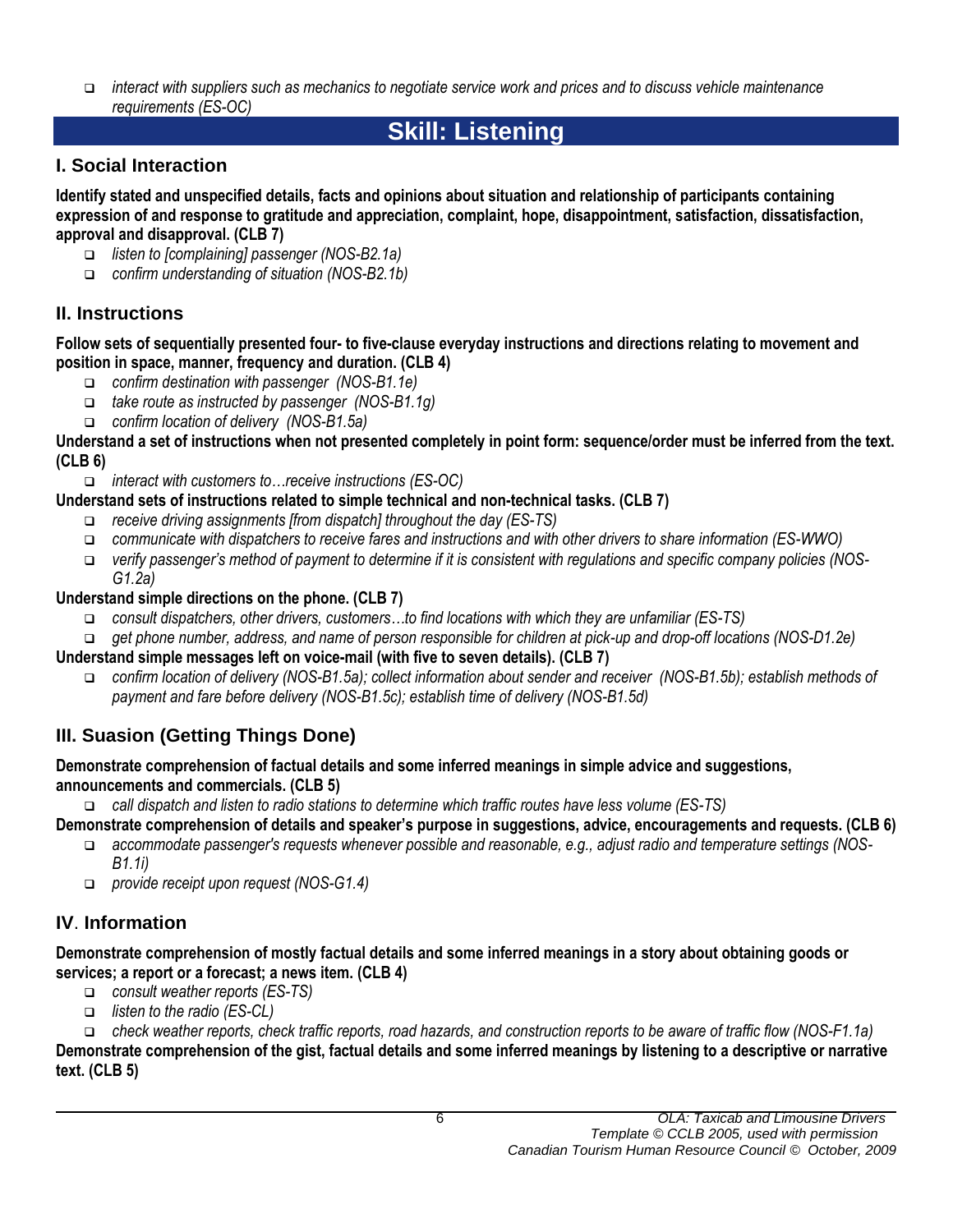*interact with suppliers such as mechanics to negotiate service work and prices and to discuss vehicle maintenance requirements (ES-OC)*

# **Skill: Listening**

## **I. Social Interaction**

**Identify stated and unspecified details, facts and opinions about situation and relationship of participants containing expression of and response to gratitude and appreciation, complaint, hope, disappointment, satisfaction, dissatisfaction, approval and disapproval. (CLB 7)**

- *listen to [complaining] passenger (NOS-B2.1a)*
- *confirm understanding of situation (NOS-B2.1b)*

## **II. Instructions**

**Follow sets of sequentially presented four- to five-clause everyday instructions and directions relating to movement and position in space, manner, frequency and duration. (CLB 4)**

- *confirm destination with passenger (NOS-B1.1e)*
- *take route as instructed by passenger (NOS-B1.1g)*
- *confirm location of delivery (NOS-B1.5a)*

**Understand a set of instructions when not presented completely in point form: sequence/order must be inferred from the text. (CLB 6)**

*interact with customers to…receive instructions (ES-OC)*

## **Understand sets of instructions related to simple technical and non-technical tasks. (CLB 7)**

- *receive driving assignments [from dispatch] throughout the day (ES-TS)*
- *communicate with dispatchers to receive fares and instructions and with other drivers to share information (ES-WWO)*
- *verify passenger's method of payment to determine if it is consistent with regulations and specific company policies (NOS-G1.2a)*

## **Understand simple directions on the phone. (CLB 7)**

- *consult dispatchers, other drivers, customers…to find locations with which they are unfamiliar (ES-TS)*
- *get phone number, address, and name of person responsible for children at pick-up and drop-off locations (NOS-D1.2e)*

## **Understand simple messages left on voice-mail (with five to seven details). (CLB 7)**

 *confirm location of delivery (NOS-B1.5a); collect information about sender and receiver (NOS-B1.5b); establish methods of payment and fare before delivery (NOS-B1.5c); establish time of delivery (NOS-B1.5d)* 

## **III. Suasion (Getting Things Done)**

## **Demonstrate comprehension of factual details and some inferred meanings in simple advice and suggestions, announcements and commercials. (CLB 5)**

*call dispatch and listen to radio stations to determine which traffic routes have less volume (ES-TS)*

**Demonstrate comprehension of details and speaker's purpose in suggestions, advice, encouragements and requests. (CLB 6)**

- *accommodate passenger's requests whenever possible and reasonable, e.g., adjust radio and temperature settings (NOS-B1.1i)*
- *provide receipt upon request (NOS-G1.4)*

## **IV**. **Information**

**Demonstrate comprehension of mostly factual details and some inferred meanings in a story about obtaining goods or services; a report or a forecast; a news item. (CLB 4)**

- *consult weather reports (ES-TS)*
- *listen to the radio (ES-CL)*

 *check weather reports, check traffic reports, road hazards, and construction reports to be aware of traffic flow (NOS-F1.1a)* **Demonstrate comprehension of the gist, factual details and some inferred meanings by listening to a descriptive or narrative text. (CLB 5)**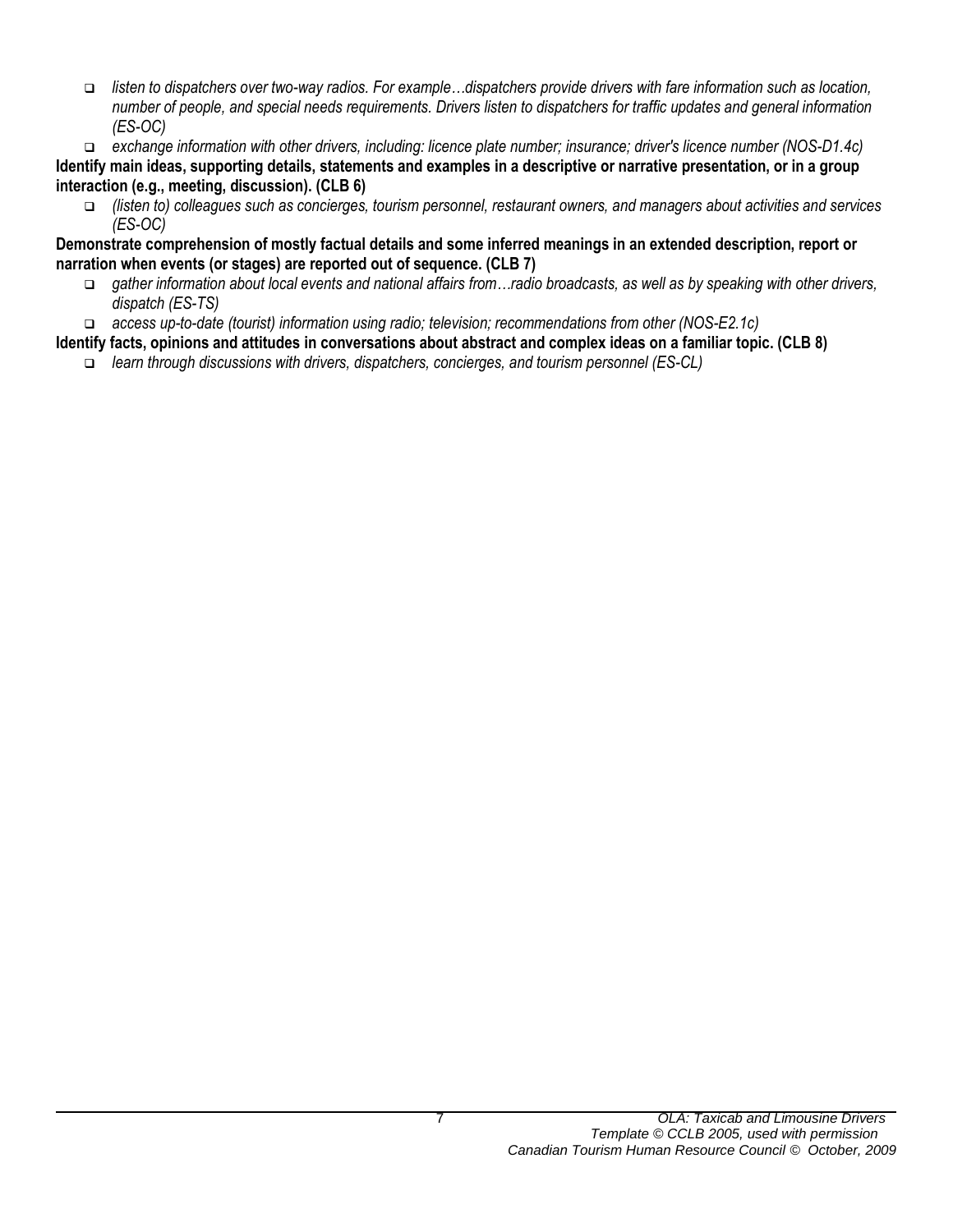*listen to dispatchers over two-way radios. For example…dispatchers provide drivers with fare information such as location, number of people, and special needs requirements. Drivers listen to dispatchers for traffic updates and general information (ES-OC)*

 *exchange information with other drivers, including: licence plate number; insurance; driver's licence number (NOS-D1.4c)* **Identify main ideas, supporting details, statements and examples in a descriptive or narrative presentation, or in a group interaction (e.g., meeting, discussion). (CLB 6)**

 *(listen to) colleagues such as concierges, tourism personnel, restaurant owners, and managers about activities and services (ES-OC)*

**Demonstrate comprehension of mostly factual details and some inferred meanings in an extended description, report or narration when events (or stages) are reported out of sequence. (CLB 7)**

- *gather information about local events and national affairs from…radio broadcasts, as well as by speaking with other drivers, dispatch (ES-TS)*
- *access up-to-date (tourist) information using radio; television; recommendations from other (NOS-E2.1c)*

**Identify facts, opinions and attitudes in conversations about abstract and complex ideas on a familiar topic. (CLB 8)**

*learn through discussions with drivers, dispatchers, concierges, and tourism personnel (ES-CL)*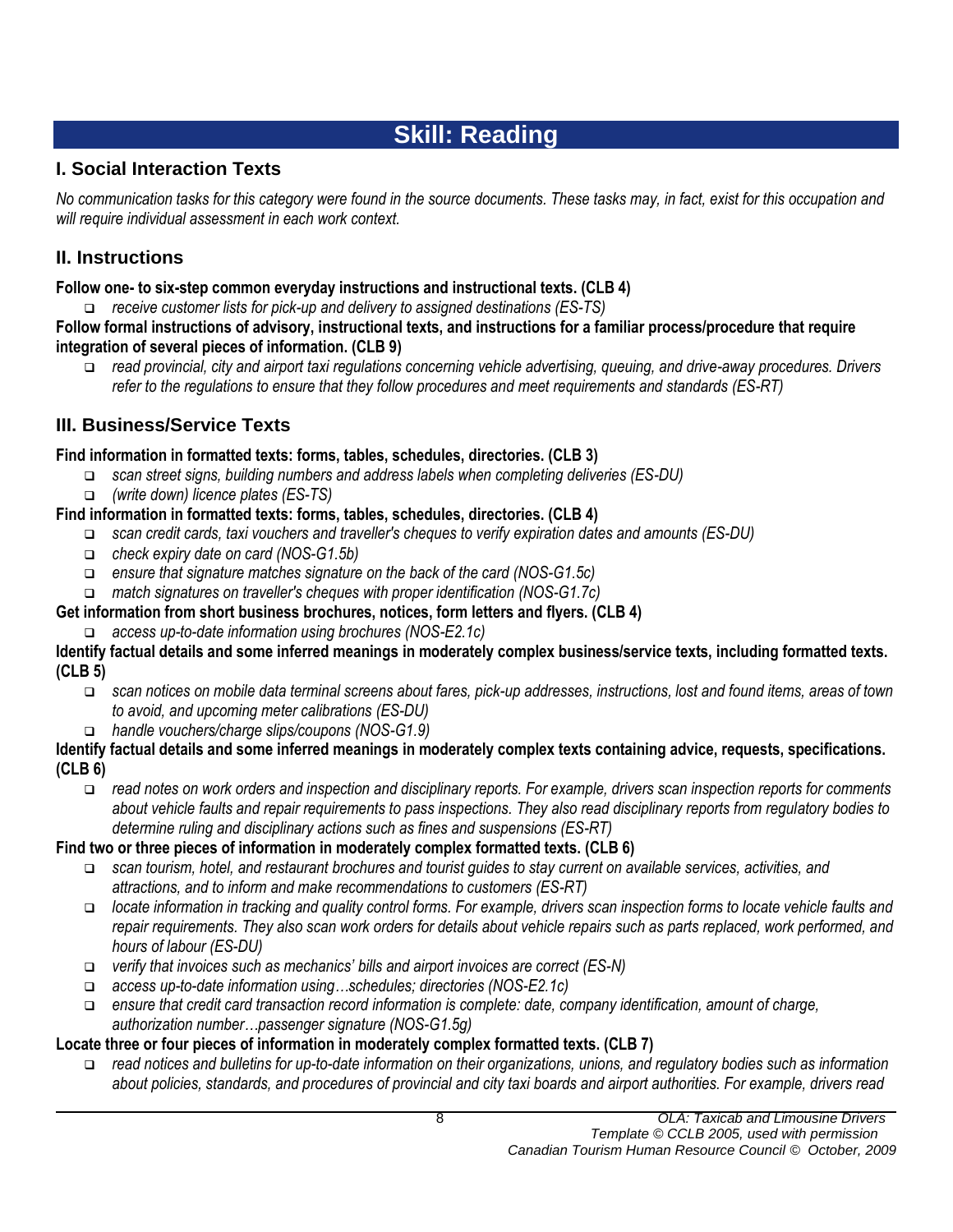# **Skill: Reading**

## **I. Social Interaction Texts**

*No communication tasks for this category were found in the source documents. These tasks may, in fact, exist for this occupation and will require individual assessment in each work context.*

## **II. Instructions**

## **Follow one- to six-step common everyday instructions and instructional texts. (CLB 4)**

*receive customer lists for pick-up and delivery to assigned destinations (ES-TS)*

**Follow formal instructions of advisory, instructional texts, and instructions for a familiar process/procedure that require integration of several pieces of information. (CLB 9)**

 *read provincial, city and airport taxi regulations concerning vehicle advertising, queuing, and drive-away procedures. Drivers refer to the regulations to ensure that they follow procedures and meet requirements and standards (ES-RT)*

## **III. Business/Service Texts**

## **Find information in formatted texts: forms, tables, schedules, directories. (CLB 3)**

- *scan street signs, building numbers and address labels when completing deliveries (ES-DU)*
- *(write down) licence plates (ES-TS)*

## **Find information in formatted texts: forms, tables, schedules, directories. (CLB 4)**

- *scan credit cards, taxi vouchers and traveller's cheques to verify expiration dates and amounts (ES-DU)*
- *check expiry date on card (NOS-G1.5b)*
- *ensure that signature matches signature on the back of the card (NOS-G1.5c)*
- *match signatures on traveller's cheques with proper identification (NOS-G1.7c)*
- **Get information from short business brochures, notices, form letters and flyers. (CLB 4)**
- *access up-to-date information using brochures (NOS-E2.1c)*

#### **Identify factual details and some inferred meanings in moderately complex business/service texts, including formatted texts. (CLB 5)**

- *scan notices on mobile data terminal screens about fares, pick-up addresses, instructions, lost and found items, areas of town to avoid, and upcoming meter calibrations (ES-DU)*
- *handle vouchers/charge slips/coupons (NOS-G1.9)*

#### **Identify factual details and some inferred meanings in moderately complex texts containing advice, requests, specifications. (CLB 6)**

 *read notes on work orders and inspection and disciplinary reports. For example, drivers scan inspection reports for comments about vehicle faults and repair requirements to pass inspections. They also read disciplinary reports from regulatory bodies to determine ruling and disciplinary actions such as fines and suspensions (ES-RT)*

## **Find two or three pieces of information in moderately complex formatted texts. (CLB 6)**

- *scan tourism, hotel, and restaurant brochures and tourist guides to stay current on available services, activities, and attractions, and to inform and make recommendations to customers (ES-RT)*
- *locate information in tracking and quality control forms. For example, drivers scan inspection forms to locate vehicle faults and repair requirements. They also scan work orders for details about vehicle repairs such as parts replaced, work performed, and hours of labour (ES-DU)*
- *verify that invoices such as mechanics' bills and airport invoices are correct (ES-N)*
- *access up-to-date information using…schedules; directories (NOS-E2.1c)*
- *ensure that credit card transaction record information is complete: date, company identification, amount of charge, authorization number…passenger signature (NOS-G1.5g)*

## **Locate three or four pieces of information in moderately complex formatted texts. (CLB 7)**

 *read notices and bulletins for up-to-date information on their organizations, unions, and regulatory bodies such as information about policies, standards, and procedures of provincial and city taxi boards and airport authorities. For example, drivers read*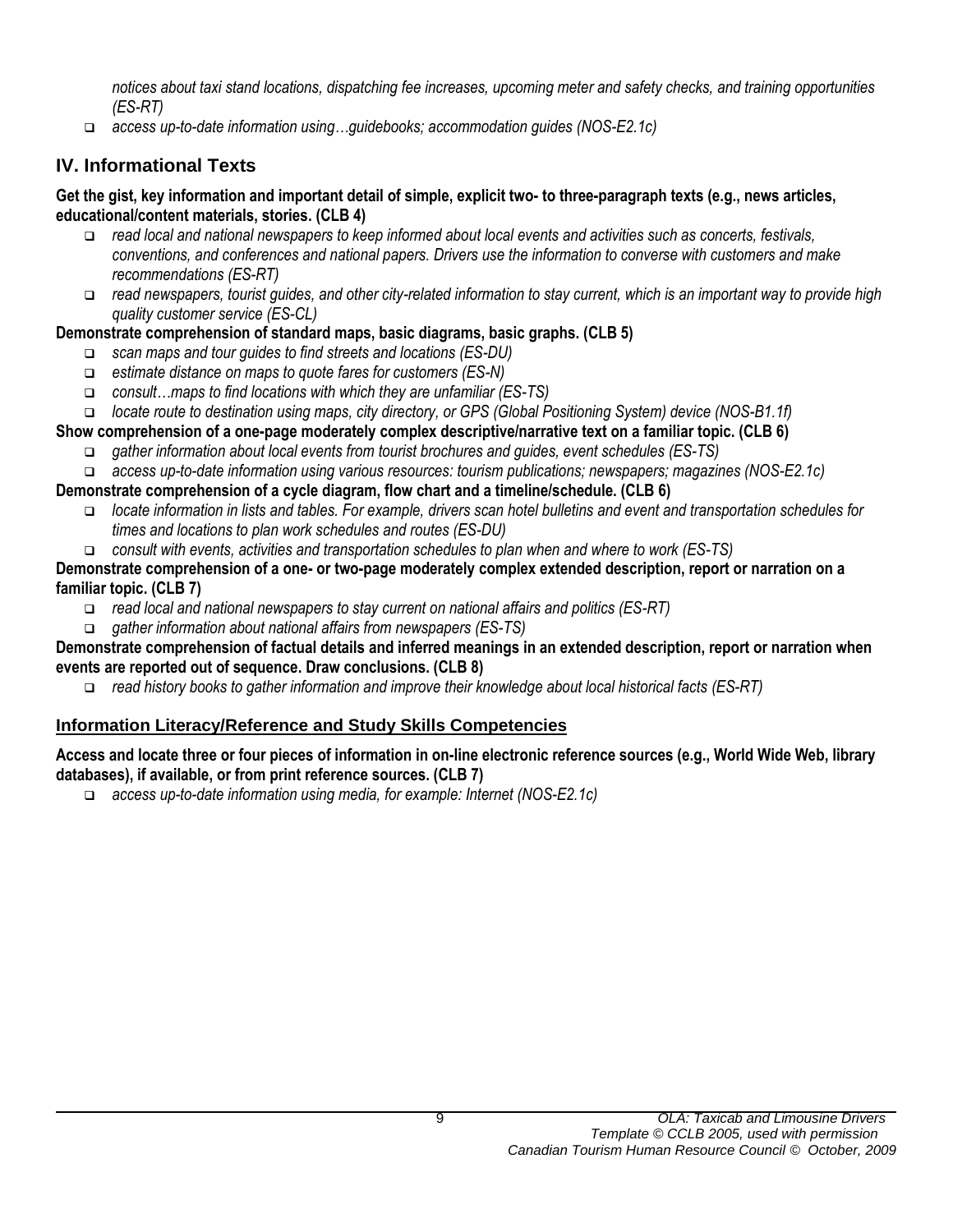*notices about taxi stand locations, dispatching fee increases, upcoming meter and safety checks, and training opportunities (ES-RT)*

*access up-to-date information using…guidebooks; accommodation guides (NOS-E2.1c)*

## **IV. Informational Texts**

#### **Get the gist, key information and important detail of simple, explicit two- to three-paragraph texts (e.g., news articles, educational/content materials, stories. (CLB 4)**

- *read local and national newspapers to keep informed about local events and activities such as concerts, festivals, conventions, and conferences and national papers. Drivers use the information to converse with customers and make recommendations (ES-RT)*
- *read newspapers, tourist guides, and other city-related information to stay current, which is an important way to provide high quality customer service (ES-CL)*

## **Demonstrate comprehension of standard maps, basic diagrams, basic graphs. (CLB 5)**

- *scan maps and tour guides to find streets and locations (ES-DU)*
- *estimate distance on maps to quote fares for customers (ES-N)*
- *consult…maps to find locations with which they are unfamiliar (ES-TS)*
- *locate route to destination using maps, city directory, or GPS (Global Positioning System) device (NOS-B1.1f)*

## **Show comprehension of a one-page moderately complex descriptive/narrative text on a familiar topic. (CLB 6)**

- *gather information about local events from tourist brochures and guides, event schedules (ES-TS)*
- *access up-to-date information using various resources: tourism publications; newspapers; magazines (NOS-E2.1c)*

## **Demonstrate comprehension of a cycle diagram, flow chart and a timeline/schedule. (CLB 6)**

- *locate information in lists and tables. For example, drivers scan hotel bulletins and event and transportation schedules for times and locations to plan work schedules and routes (ES-DU)*
- *consult with events, activities and transportation schedules to plan when and where to work (ES-TS)*

#### **Demonstrate comprehension of a one- or two-page moderately complex extended description, report or narration on a familiar topic. (CLB 7)**

- *read local and national newspapers to stay current on national affairs and politics (ES-RT)*
- *gather information about national affairs from newspapers (ES-TS)*

#### **Demonstrate comprehension of factual details and inferred meanings in an extended description, report or narration when events are reported out of sequence. Draw conclusions. (CLB 8)**

*read history books to gather information and improve their knowledge about local historical facts (ES-RT)*

## **Information Literacy/Reference and Study Skills Competencies**

#### **Access and locate three or four pieces of information in on-line electronic reference sources (e.g., World Wide Web, library databases), if available, or from print reference sources. (CLB 7)**

*access up-to-date information using media, for example: Internet (NOS-E2.1c)*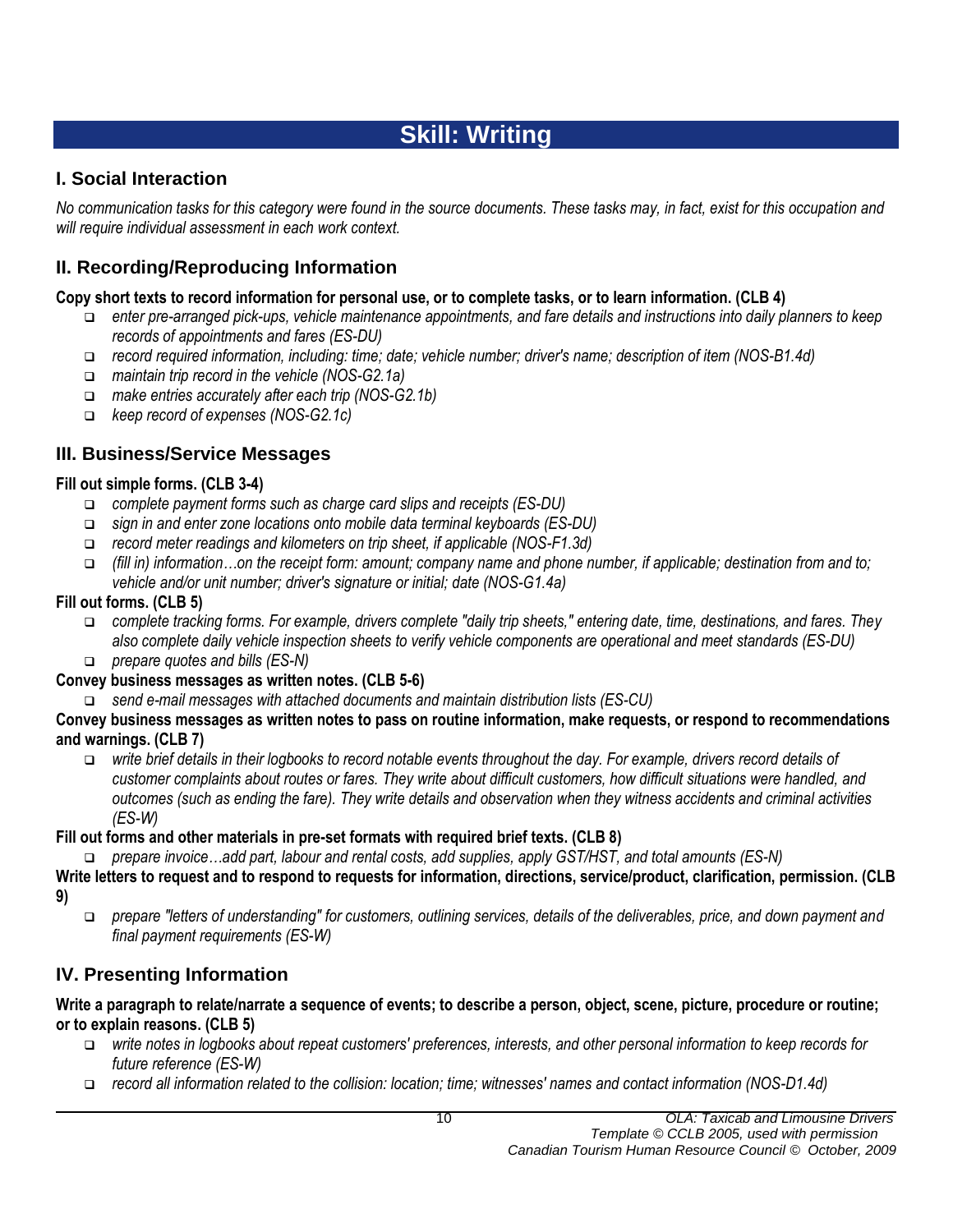# **Skill: Writing**

## **I. Social Interaction**

*No communication tasks for this category were found in the source documents. These tasks may, in fact, exist for this occupation and will require individual assessment in each work context.*

## **II. Recording/Reproducing Information**

## **Copy short texts to record information for personal use, or to complete tasks, or to learn information. (CLB 4)**

- *enter pre-arranged pick-ups, vehicle maintenance appointments, and fare details and instructions into daily planners to keep records of appointments and fares (ES-DU)*
- *record required information, including: time; date; vehicle number; driver's name; description of item (NOS-B1.4d)*
- *maintain trip record in the vehicle (NOS-G2.1a)*
- *make entries accurately after each trip (NOS-G2.1b)*
- *keep record of expenses (NOS-G2.1c)*

## **III. Business/Service Messages**

## **Fill out simple forms. (CLB 3-4)**

- *complete payment forms such as charge card slips and receipts (ES-DU)*
- *sign in and enter zone locations onto mobile data terminal keyboards (ES-DU)*
- *record meter readings and kilometers on trip sheet, if applicable (NOS-F1.3d)*
- *(fill in) information…on the receipt form: amount; company name and phone number, if applicable; destination from and to; vehicle and/or unit number; driver's signature or initial; date (NOS-G1.4a)*

## **Fill out forms. (CLB 5)**

- *complete tracking forms. For example, drivers complete "daily trip sheets," entering date, time, destinations, and fares. They also complete daily vehicle inspection sheets to verify vehicle components are operational and meet standards (ES-DU)*
- *prepare quotes and bills (ES-N)*

## **Convey business messages as written notes. (CLB 5-6)**

*send e-mail messages with attached documents and maintain distribution lists (ES-CU)*

**Convey business messages as written notes to pass on routine information, make requests, or respond to recommendations and warnings. (CLB 7)**

 *write brief details in their logbooks to record notable events throughout the day. For example, drivers record details of customer complaints about routes or fares. They write about difficult customers, how difficult situations were handled, and outcomes (such as ending the fare). They write details and observation when they witness accidents and criminal activities (ES-W)*

## **Fill out forms and other materials in pre-set formats with required brief texts. (CLB 8)**

*prepare invoice…add part, labour and rental costs, add supplies, apply GST/HST, and total amounts (ES-N)*

**Write letters to request and to respond to requests for information, directions, service/product, clarification, permission. (CLB 9)**

 *prepare "letters of understanding" for customers, outlining services, details of the deliverables, price, and down payment and final payment requirements (ES-W)*

## **IV. Presenting Information**

#### **Write a paragraph to relate/narrate a sequence of events; to describe a person, object, scene, picture, procedure or routine; or to explain reasons. (CLB 5)**

- *write notes in logbooks about repeat customers' preferences, interests, and other personal information to keep records for future reference (ES-W)*
- *record all information related to the collision: location; time; witnesses' names and contact information (NOS-D1.4d)*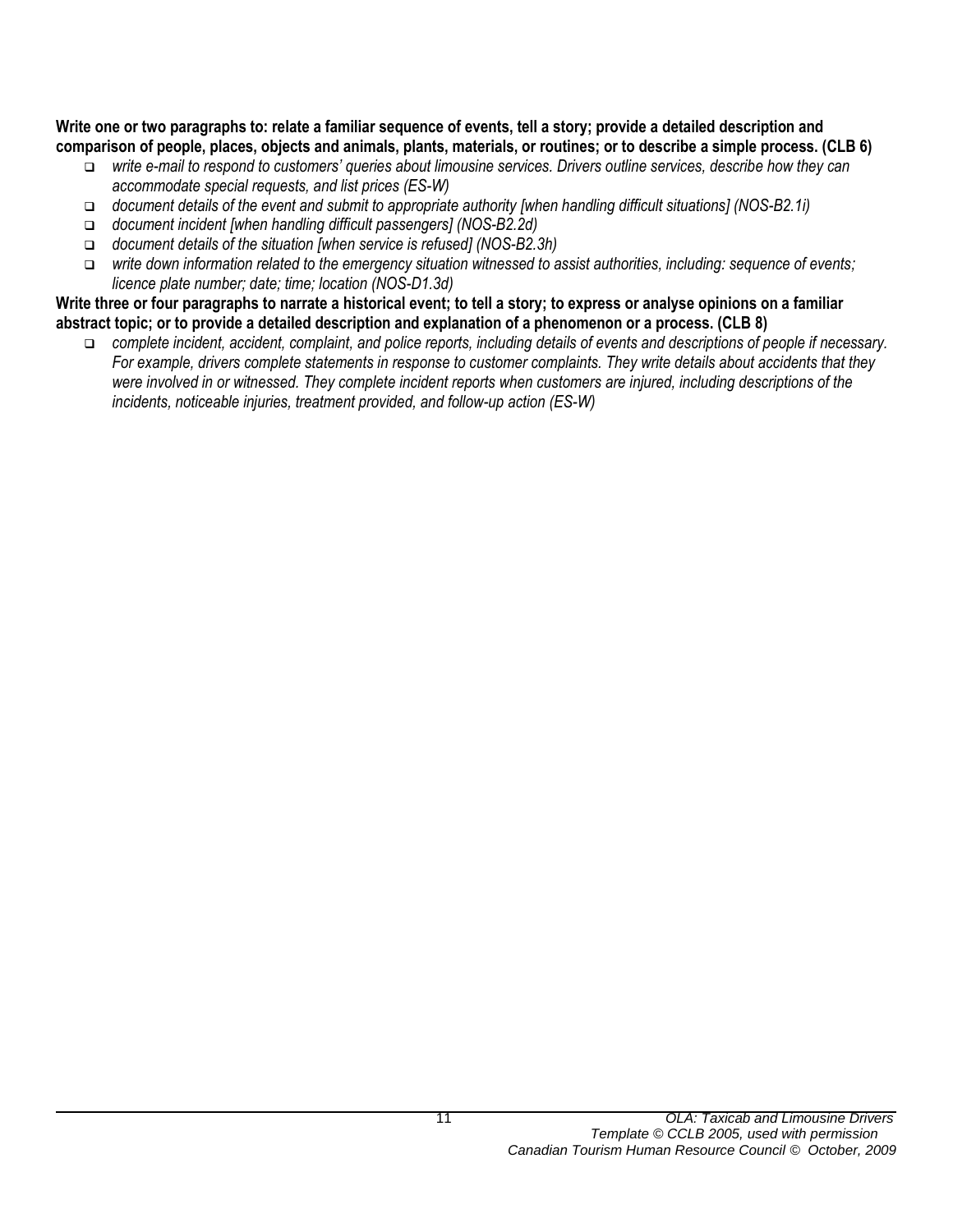#### **Write one or two paragraphs to: relate a familiar sequence of events, tell a story; provide a detailed description and comparison of people, places, objects and animals, plants, materials, or routines; or to describe a simple process. (CLB 6)**

- *write e-mail to respond to customers' queries about limousine services. Drivers outline services, describe how they can accommodate special requests, and list prices (ES-W)*
- *document details of the event and submit to appropriate authority [when handling difficult situations] (NOS-B2.1i)*
- *document incident [when handling difficult passengers] (NOS-B2.2d)*
- *document details of the situation [when service is refused] (NOS-B2.3h)*
- *write down information related to the emergency situation witnessed to assist authorities, including: sequence of events; licence plate number; date; time; location (NOS-D1.3d)*

#### **Write three or four paragraphs to narrate a historical event; to tell a story; to express or analyse opinions on a familiar abstract topic; or to provide a detailed description and explanation of a phenomenon or a process. (CLB 8)**

 *complete incident, accident, complaint, and police reports, including details of events and descriptions of people if necessary. For example, drivers complete statements in response to customer complaints. They write details about accidents that they were involved in or witnessed. They complete incident reports when customers are injured, including descriptions of the incidents, noticeable injuries, treatment provided, and follow-up action (ES-W)*